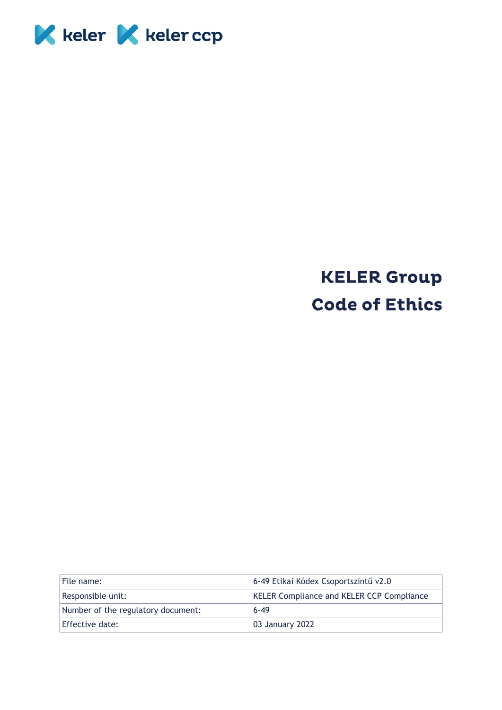

## **KELER Group Code of Ethics**

| File name:                         | 6-49 Etikai Kódex Csoportszintű v2.0             |
|------------------------------------|--------------------------------------------------|
| Responsible unit:                  | <b>KELER Compliance and KELER CCP Compliance</b> |
| Number of the regulatory document: | $6 - 49$                                         |
| Effective date:                    | 03 January 2022                                  |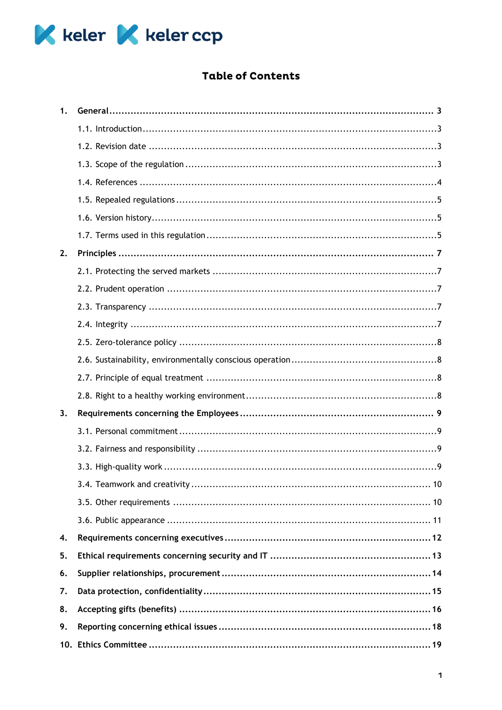

## Table of Contents

| 1. |  |
|----|--|
|    |  |
|    |  |
|    |  |
|    |  |
|    |  |
|    |  |
|    |  |
| 2. |  |
|    |  |
|    |  |
|    |  |
|    |  |
|    |  |
|    |  |
|    |  |
|    |  |
| 3. |  |
|    |  |
|    |  |
|    |  |
|    |  |
|    |  |
|    |  |
| 4. |  |
| 5. |  |
| 6. |  |
| 7. |  |
| 8. |  |
| 9. |  |
|    |  |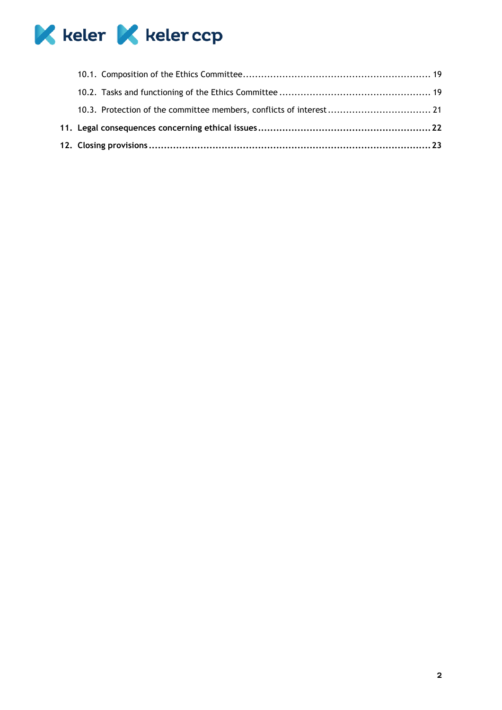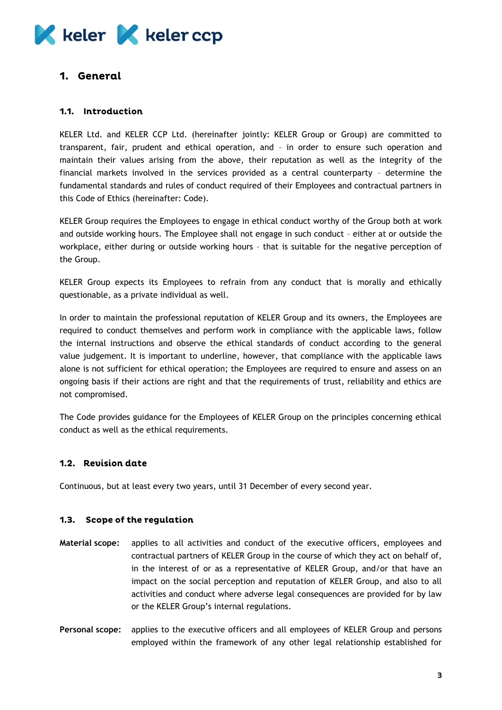## **K** keler **K** keler ccp

## <span id="page-3-0"></span>1. General

## <span id="page-3-1"></span>1.1. Introduction

KELER Ltd. and KELER CCP Ltd. (hereinafter jointly: KELER Group or Group) are committed to transparent, fair, prudent and ethical operation, and – in order to ensure such operation and maintain their values arising from the above, their reputation as well as the integrity of the financial markets involved in the services provided as a central counterparty – determine the fundamental standards and rules of conduct required of their Employees and contractual partners in this Code of Ethics (hereinafter: Code).

KELER Group requires the Employees to engage in ethical conduct worthy of the Group both at work and outside working hours. The Employee shall not engage in such conduct – either at or outside the workplace, either during or outside working hours – that is suitable for the negative perception of the Group.

KELER Group expects its Employees to refrain from any conduct that is morally and ethically questionable, as a private individual as well.

In order to maintain the professional reputation of KELER Group and its owners, the Employees are required to conduct themselves and perform work in compliance with the applicable laws, follow the internal instructions and observe the ethical standards of conduct according to the general value judgement. It is important to underline, however, that compliance with the applicable laws alone is not sufficient for ethical operation; the Employees are required to ensure and assess on an ongoing basis if their actions are right and that the requirements of trust, reliability and ethics are not compromised.

The Code provides guidance for the Employees of KELER Group on the principles concerning ethical conduct as well as the ethical requirements.

## <span id="page-3-2"></span>1.2. Revision date

Continuous, but at least every two years, until 31 December of every second year.

#### <span id="page-3-3"></span> $1.3.$ **Scope of the regulation**

- **Material scope:** applies to all activities and conduct of the executive officers, employees and contractual partners of KELER Group in the course of which they act on behalf of, in the interest of or as a representative of KELER Group, and/or that have an impact on the social perception and reputation of KELER Group, and also to all activities and conduct where adverse legal consequences are provided for by law or the KELER Group's internal regulations.
- **Personal scope:** applies to the executive officers and all employees of KELER Group and persons employed within the framework of any other legal relationship established for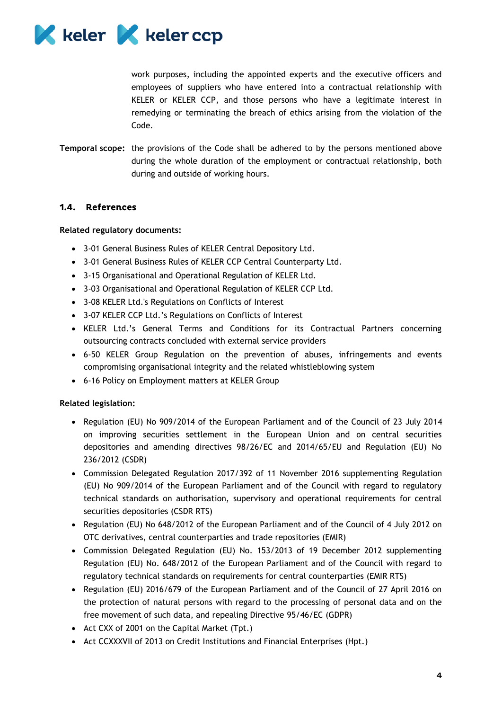

work purposes, including the appointed experts and the executive officers and employees of suppliers who have entered into a contractual relationship with KELER or KELER CCP, and those persons who have a legitimate interest in remedying or terminating the breach of ethics arising from the violation of the Code.

**Temporal scope:** the provisions of the Code shall be adhered to by the persons mentioned above during the whole duration of the employment or contractual relationship, both during and outside of working hours.

## <span id="page-4-0"></span>1.4. References

#### **Related regulatory documents:**

- 3-01 General Business Rules of KELER Central Depository Ltd.
- 3-01 General Business Rules of KELER CCP Central Counterparty Ltd.
- 3-15 Organisational and Operational Regulation of KELER Ltd.
- 3-03 Organisational and Operational Regulation of KELER CCP Ltd.
- 3-08 KELER Ltd.'s Regulations on Conflicts of Interest
- 3-07 KELER CCP Ltd.'s Regulations on Conflicts of Interest
- KELER Ltd.'s General Terms and Conditions for its Contractual Partners concerning outsourcing contracts concluded with external service providers
- 6-50 KELER Group Regulation on the prevention of abuses, infringements and events compromising organisational integrity and the related whistleblowing system
- 6-16 Policy on Employment matters at KELER Group

#### **Related legislation:**

- Regulation (EU) No 909/2014 of the European Parliament and of the Council of 23 July 2014 on improving securities settlement in the European Union and on central securities depositories and amending directives 98/26/EC and 2014/65/EU and Regulation (EU) No 236/2012 (CSDR)
- Commission Delegated Regulation 2017/392 of 11 November 2016 supplementing Regulation (EU) No 909/2014 of the European Parliament and of the Council with regard to regulatory technical standards on authorisation, supervisory and operational requirements for central securities depositories (CSDR RTS)
- Regulation (EU) No 648/2012 of the European Parliament and of the Council of 4 July 2012 on OTC derivatives, central counterparties and trade repositories (EMIR)
- Commission Delegated Regulation (EU) No. 153/2013 of 19 December 2012 supplementing Regulation (EU) No. 648/2012 of the European Parliament and of the Council with regard to regulatory technical standards on requirements for central counterparties (EMIR RTS)
- Regulation (EU) 2016/679 of the European Parliament and of the Council of 27 April 2016 on the protection of natural persons with regard to the processing of personal data and on the free movement of such data, and repealing Directive 95/46/EC (GDPR)
- Act CXX of 2001 on the Capital Market (Tpt.)
- Act CCXXXVII of 2013 on Credit Institutions and Financial Enterprises (Hpt.)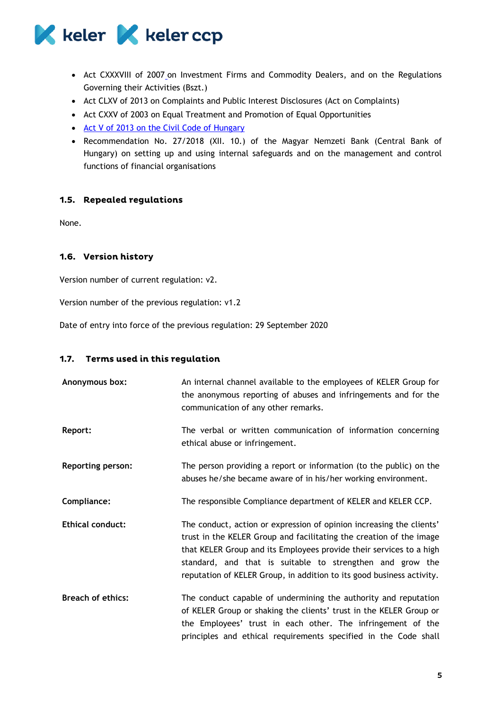

- Act CXXXVIII of 200[7](https://net.jogtar.hu/jogszabaly?docid=a0700138.tv#lbj0idf1e) on Investment Firms and Commodity Dealers, and on the Regulations Governing their Activities (Bszt.)
- Act CLXV of 2013 on Complaints and Public Interest Disclosures (Act on Complaints)
- Act CXXV of 2003 on Equal Treatment and Promotion of Equal Opportunities
- [Act V of 2013 on the Civil Code of Hungary](https://net.jogtar.hu/jogszabaly?docid=a1300005.tv)
- Recommendation No. 27/2018 (XII. 10.) of the Magyar Nemzeti Bank (Central Bank of Hungary) on setting up and using internal safeguards and on the management and control functions of financial organisations

## <span id="page-5-0"></span>1.5. Repealed regulations

None.

## <span id="page-5-1"></span>1.6. Version history

Version number of current regulation: v2.

Version number of the previous regulation: v1.2

Date of entry into force of the previous regulation: 29 September 2020

#### <span id="page-5-2"></span>1.7. Terms used in this regulation

| Anonymous box:           | An internal channel available to the employees of KELER Group for<br>the anonymous reporting of abuses and infringements and for the<br>communication of any other remarks.                                                                                                                                                                              |
|--------------------------|----------------------------------------------------------------------------------------------------------------------------------------------------------------------------------------------------------------------------------------------------------------------------------------------------------------------------------------------------------|
| Report:                  | The verbal or written communication of information concerning<br>ethical abuse or infringement.                                                                                                                                                                                                                                                          |
| <b>Reporting person:</b> | The person providing a report or information (to the public) on the<br>abuses he/she became aware of in his/her working environment.                                                                                                                                                                                                                     |
| Compliance:              | The responsible Compliance department of KELER and KELER CCP.                                                                                                                                                                                                                                                                                            |
| <b>Ethical conduct:</b>  | The conduct, action or expression of opinion increasing the clients'<br>trust in the KELER Group and facilitating the creation of the image<br>that KELER Group and its Employees provide their services to a high<br>standard, and that is suitable to strengthen and grow the<br>reputation of KELER Group, in addition to its good business activity. |
| <b>Breach of ethics:</b> | The conduct capable of undermining the authority and reputation<br>of KELER Group or shaking the clients' trust in the KELER Group or<br>the Employees' trust in each other. The infringement of the<br>principles and ethical requirements specified in the Code shall                                                                                  |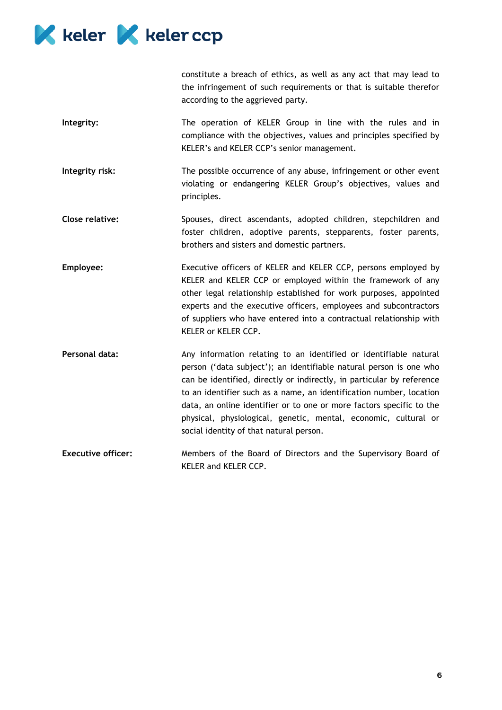

constitute a breach of ethics, as well as any act that may lead to the infringement of such requirements or that is suitable therefor according to the aggrieved party.

- **Integrity:** The operation of KELER Group in line with the rules and in compliance with the objectives, values and principles specified by KELER's and KELER CCP's senior management.
- **Integrity risk:** The possible occurrence of any abuse, infringement or other event violating or endangering KELER Group's objectives, values and principles.
- **Close relative:** Spouses, direct ascendants, adopted children, stepchildren and foster children, adoptive parents, stepparents, foster parents, brothers and sisters and domestic partners.
- **Employee:** Executive officers of KELER and KELER CCP, persons employed by KELER and KELER CCP or employed within the framework of any other legal relationship established for work purposes, appointed experts and the executive officers, employees and subcontractors of suppliers who have entered into a contractual relationship with KELER or KELER CCP.
- Personal data: Any information relating to an identified or identifiable natural person ('data subject'); an identifiable natural person is one who can be identified, directly or indirectly, in particular by reference to an identifier such as a name, an identification number, location data, an online identifier or to one or more factors specific to the physical, physiological, genetic, mental, economic, cultural or social identity of that natural person.
- **Executive officer:** Members of the Board of Directors and the Supervisory Board of KELER and KELER CCP.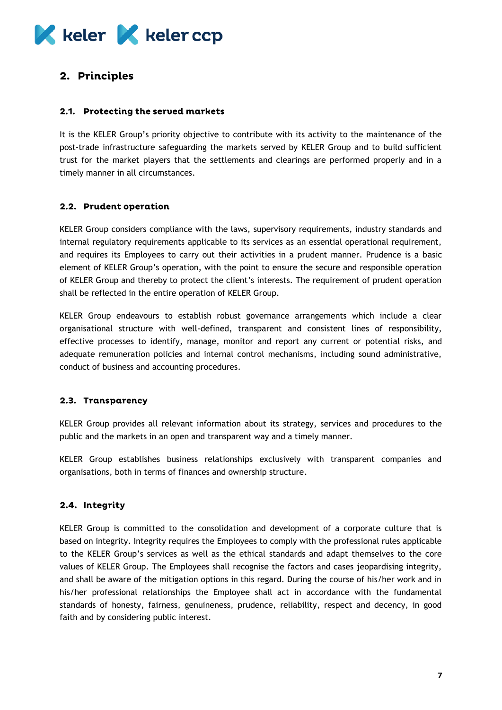# **K** keler **K** keler ccp

## <span id="page-7-0"></span>2. Principles

## <span id="page-7-1"></span>2.1. Protecting the served markets

It is the KELER Group's priority objective to contribute with its activity to the maintenance of the post-trade infrastructure safeguarding the markets served by KELER Group and to build sufficient trust for the market players that the settlements and clearings are performed properly and in a timely manner in all circumstances.

## <span id="page-7-2"></span>2.2. Prudent operation

KELER Group considers compliance with the laws, supervisory requirements, industry standards and internal regulatory requirements applicable to its services as an essential operational requirement, and requires its Employees to carry out their activities in a prudent manner. Prudence is a basic element of KELER Group's operation, with the point to ensure the secure and responsible operation of KELER Group and thereby to protect the client's interests. The requirement of prudent operation shall be reflected in the entire operation of KELER Group.

KELER Group endeavours to establish robust governance arrangements which include a clear organisational structure with well-defined, transparent and consistent lines of responsibility, effective processes to identify, manage, monitor and report any current or potential risks, and adequate remuneration policies and internal control mechanisms, including sound administrative, conduct of business and accounting procedures.

#### <span id="page-7-3"></span>2.3. Transparency

KELER Group provides all relevant information about its strategy, services and procedures to the public and the markets in an open and transparent way and a timely manner.

KELER Group establishes business relationships exclusively with transparent companies and organisations, both in terms of finances and ownership structure.

## <span id="page-7-4"></span>2.4. Integrity

KELER Group is committed to the consolidation and development of a corporate culture that is based on integrity. Integrity requires the Employees to comply with the professional rules applicable to the KELER Group's services as well as the ethical standards and adapt themselves to the core values of KELER Group. The Employees shall recognise the factors and cases jeopardising integrity, and shall be aware of the mitigation options in this regard. During the course of his/her work and in his/her professional relationships the Employee shall act in accordance with the fundamental standards of honesty, fairness, genuineness, prudence, reliability, respect and decency, in good faith and by considering public interest.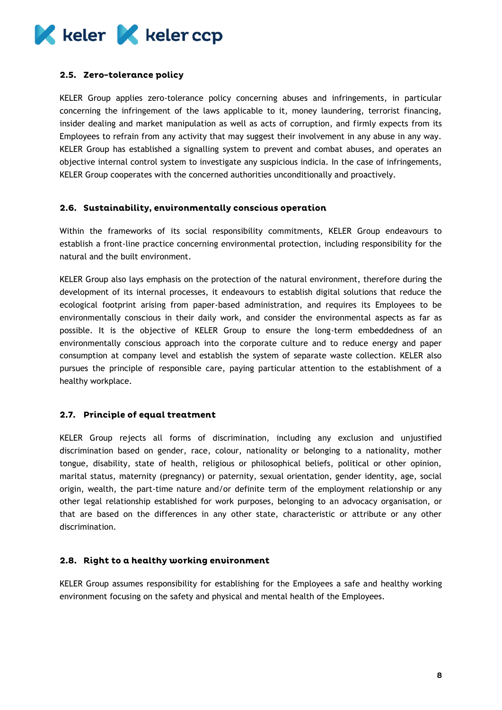

## <span id="page-8-0"></span>2.5. Zero-tolerance policy

KELER Group applies zero-tolerance policy concerning abuses and infringements, in particular concerning the infringement of the laws applicable to it, money laundering, terrorist financing, insider dealing and market manipulation as well as acts of corruption, and firmly expects from its Employees to refrain from any activity that may suggest their involvement in any abuse in any way. KELER Group has established a signalling system to prevent and combat abuses, and operates an objective internal control system to investigate any suspicious indicia. In the case of infringements, KELER Group cooperates with the concerned authorities unconditionally and proactively.

#### <span id="page-8-1"></span>2.6. Sustainability, environmentally conscious operation

Within the frameworks of its social responsibility commitments, KELER Group endeavours to establish a front-line practice concerning environmental protection, including responsibility for the natural and the built environment.

KELER Group also lays emphasis on the protection of the natural environment, therefore during the development of its internal processes, it endeavours to establish digital solutions that reduce the ecological footprint arising from paper-based administration, and requires its Employees to be environmentally conscious in their daily work, and consider the environmental aspects as far as possible. It is the objective of KELER Group to ensure the long-term embeddedness of an environmentally conscious approach into the corporate culture and to reduce energy and paper consumption at company level and establish the system of separate waste collection. KELER also pursues the principle of responsible care, paying particular attention to the establishment of a healthy workplace.

## <span id="page-8-2"></span>2.7. Principle of equal treatment

KELER Group rejects all forms of discrimination, including any exclusion and unjustified discrimination based on gender, race, colour, nationality or belonging to a nationality, mother tongue, disability, state of health, religious or philosophical beliefs, political or other opinion, marital status, maternity (pregnancy) or paternity, sexual orientation, gender identity, age, social origin, wealth, the part-time nature and/or definite term of the employment relationship or any other legal relationship established for work purposes, belonging to an advocacy organisation, or that are based on the differences in any other state, characteristic or attribute or any other discrimination.

#### <span id="page-8-3"></span>2.8. Right to a healthy working environment

KELER Group assumes responsibility for establishing for the Employees a safe and healthy working environment focusing on the safety and physical and mental health of the Employees.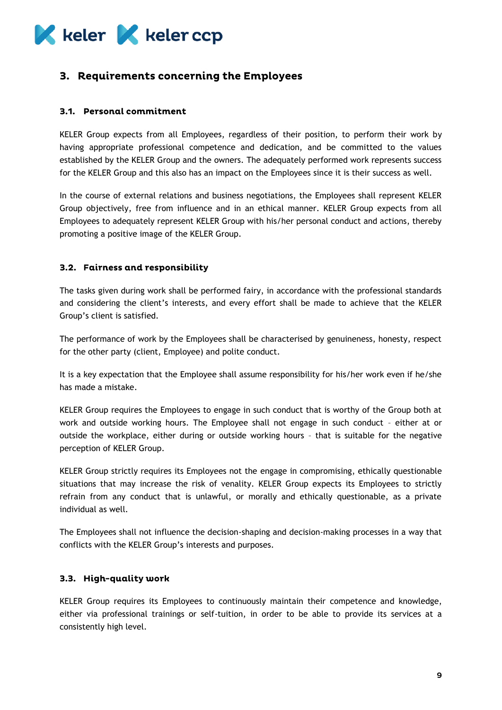# **K** keler **K** keler ccp

## <span id="page-9-0"></span>3. Requirements concerning the Employees

## <span id="page-9-1"></span>3.1. Personal commitment

KELER Group expects from all Employees, regardless of their position, to perform their work by having appropriate professional competence and dedication, and be committed to the values established by the KELER Group and the owners. The adequately performed work represents success for the KELER Group and this also has an impact on the Employees since it is their success as well.

In the course of external relations and business negotiations, the Employees shall represent KELER Group objectively, free from influence and in an ethical manner. KELER Group expects from all Employees to adequately represent KELER Group with his/her personal conduct and actions, thereby promoting a positive image of the KELER Group.

## <span id="page-9-2"></span>3.2. Fairness and responsibility

The tasks given during work shall be performed fairy, in accordance with the professional standards and considering the client's interests, and every effort shall be made to achieve that the KELER Group's client is satisfied.

The performance of work by the Employees shall be characterised by genuineness, honesty, respect for the other party (client, Employee) and polite conduct.

It is a key expectation that the Employee shall assume responsibility for his/her work even if he/she has made a mistake.

KELER Group requires the Employees to engage in such conduct that is worthy of the Group both at work and outside working hours. The Employee shall not engage in such conduct – either at or outside the workplace, either during or outside working hours – that is suitable for the negative perception of KELER Group.

KELER Group strictly requires its Employees not the engage in compromising, ethically questionable situations that may increase the risk of venality. KELER Group expects its Employees to strictly refrain from any conduct that is unlawful, or morally and ethically questionable, as a private individual as well.

The Employees shall not influence the decision-shaping and decision-making processes in a way that conflicts with the KELER Group's interests and purposes.

## <span id="page-9-3"></span>3.3. High-quality work

KELER Group requires its Employees to continuously maintain their competence and knowledge, either via professional trainings or self-tuition, in order to be able to provide its services at a consistently high level.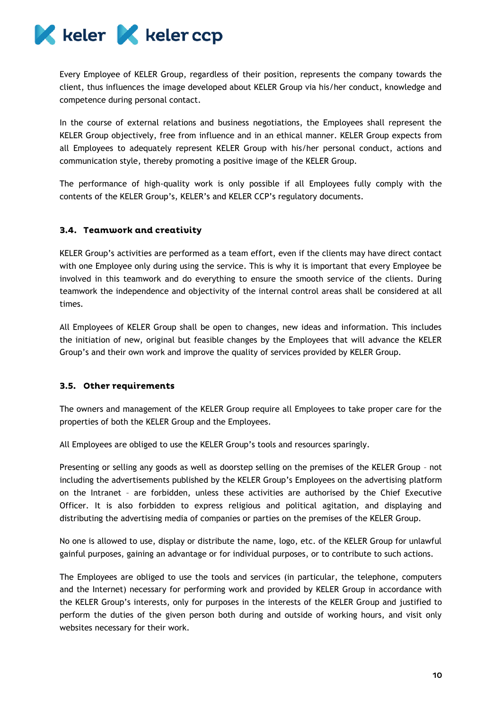

Every Employee of KELER Group, regardless of their position, represents the company towards the client, thus influences the image developed about KELER Group via his/her conduct, knowledge and competence during personal contact.

In the course of external relations and business negotiations, the Employees shall represent the KELER Group objectively, free from influence and in an ethical manner. KELER Group expects from all Employees to adequately represent KELER Group with his/her personal conduct, actions and communication style, thereby promoting a positive image of the KELER Group.

The performance of high-quality work is only possible if all Employees fully comply with the contents of the KELER Group's, KELER's and KELER CCP's regulatory documents.

## <span id="page-10-0"></span>3.4. Teamwork and creativity

KELER Group's activities are performed as a team effort, even if the clients may have direct contact with one Employee only during using the service. This is why it is important that every Employee be involved in this teamwork and do everything to ensure the smooth service of the clients. During teamwork the independence and objectivity of the internal control areas shall be considered at all times.

All Employees of KELER Group shall be open to changes, new ideas and information. This includes the initiation of new, original but feasible changes by the Employees that will advance the KELER Group's and their own work and improve the quality of services provided by KELER Group.

#### <span id="page-10-1"></span>3.5. Other requirements

The owners and management of the KELER Group require all Employees to take proper care for the properties of both the KELER Group and the Employees.

All Employees are obliged to use the KELER Group's tools and resources sparingly.

Presenting or selling any goods as well as doorstep selling on the premises of the KELER Group – not including the advertisements published by the KELER Group's Employees on the advertising platform on the Intranet – are forbidden, unless these activities are authorised by the Chief Executive Officer. It is also forbidden to express religious and political agitation, and displaying and distributing the advertising media of companies or parties on the premises of the KELER Group.

No one is allowed to use, display or distribute the name, logo, etc. of the KELER Group for unlawful gainful purposes, gaining an advantage or for individual purposes, or to contribute to such actions.

The Employees are obliged to use the tools and services (in particular, the telephone, computers and the Internet) necessary for performing work and provided by KELER Group in accordance with the KELER Group's interests, only for purposes in the interests of the KELER Group and justified to perform the duties of the given person both during and outside of working hours, and visit only websites necessary for their work.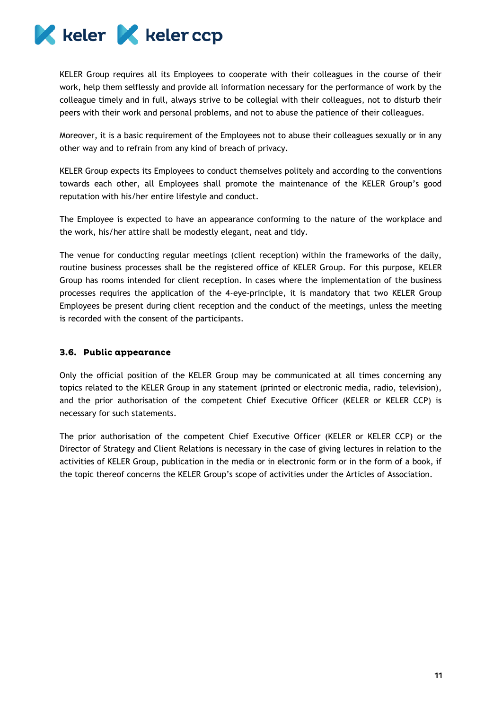

KELER Group requires all its Employees to cooperate with their colleagues in the course of their work, help them selflessly and provide all information necessary for the performance of work by the colleague timely and in full, always strive to be collegial with their colleagues, not to disturb their peers with their work and personal problems, and not to abuse the patience of their colleagues.

Moreover, it is a basic requirement of the Employees not to abuse their colleagues sexually or in any other way and to refrain from any kind of breach of privacy.

KELER Group expects its Employees to conduct themselves politely and according to the conventions towards each other, all Employees shall promote the maintenance of the KELER Group's good reputation with his/her entire lifestyle and conduct.

The Employee is expected to have an appearance conforming to the nature of the workplace and the work, his/her attire shall be modestly elegant, neat and tidy.

The venue for conducting regular meetings (client reception) within the frameworks of the daily, routine business processes shall be the registered office of KELER Group. For this purpose, KELER Group has rooms intended for client reception. In cases where the implementation of the business processes requires the application of the 4-eye-principle, it is mandatory that two KELER Group Employees be present during client reception and the conduct of the meetings, unless the meeting is recorded with the consent of the participants.

#### <span id="page-11-0"></span>3.6. Public appearance

Only the official position of the KELER Group may be communicated at all times concerning any topics related to the KELER Group in any statement (printed or electronic media, radio, television), and the prior authorisation of the competent Chief Executive Officer (KELER or KELER CCP) is necessary for such statements.

The prior authorisation of the competent Chief Executive Officer (KELER or KELER CCP) or the Director of Strategy and Client Relations is necessary in the case of giving lectures in relation to the activities of KELER Group, publication in the media or in electronic form or in the form of a book, if the topic thereof concerns the KELER Group's scope of activities under the Articles of Association.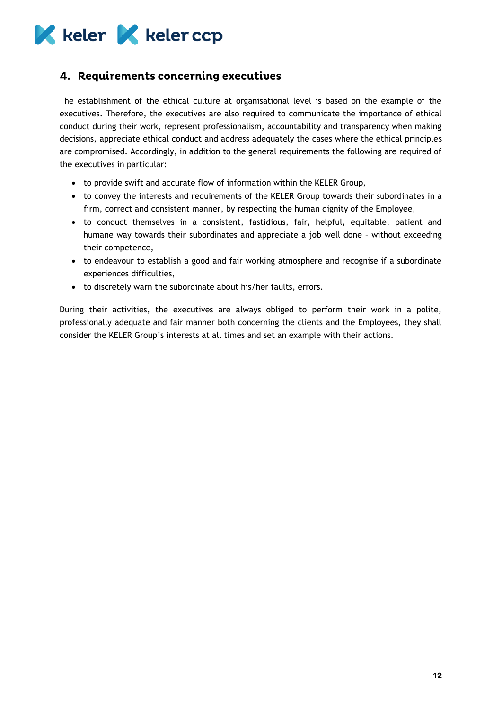

## <span id="page-12-0"></span>4. Requirements concerning executives

The establishment of the ethical culture at organisational level is based on the example of the executives. Therefore, the executives are also required to communicate the importance of ethical conduct during their work, represent professionalism, accountability and transparency when making decisions, appreciate ethical conduct and address adequately the cases where the ethical principles are compromised. Accordingly, in addition to the general requirements the following are required of the executives in particular:

- to provide swift and accurate flow of information within the KELER Group,
- to convey the interests and requirements of the KELER Group towards their subordinates in a firm, correct and consistent manner, by respecting the human dignity of the Employee,
- to conduct themselves in a consistent, fastidious, fair, helpful, equitable, patient and humane way towards their subordinates and appreciate a job well done – without exceeding their competence,
- to endeavour to establish a good and fair working atmosphere and recognise if a subordinate experiences difficulties,
- to discretely warn the subordinate about his/her faults, errors.

During their activities, the executives are always obliged to perform their work in a polite, professionally adequate and fair manner both concerning the clients and the Employees, they shall consider the KELER Group's interests at all times and set an example with their actions.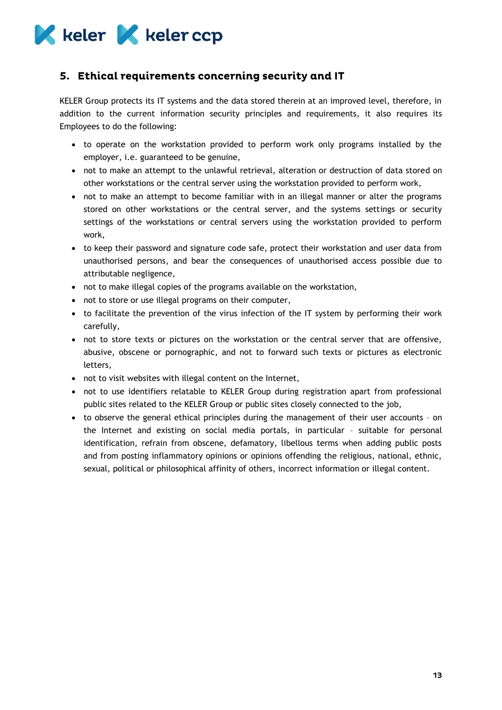

## <span id="page-13-0"></span>5. Ethical requirements concerning security and IT

KELER Group protects its IT systems and the data stored therein at an improved level, therefore, in addition to the current information security principles and requirements, it also requires its Employees to do the following:

- to operate on the workstation provided to perform work only programs installed by the employer, i.e. guaranteed to be genuine,
- not to make an attempt to the unlawful retrieval, alteration or destruction of data stored on other workstations or the central server using the workstation provided to perform work,
- not to make an attempt to become familiar with in an illegal manner or alter the programs stored on other workstations or the central server, and the systems settings or security settings of the workstations or central servers using the workstation provided to perform work,
- to keep their password and signature code safe, protect their workstation and user data from unauthorised persons, and bear the consequences of unauthorised access possible due to attributable negligence,
- not to make illegal copies of the programs available on the workstation,
- not to store or use illegal programs on their computer,
- to facilitate the prevention of the virus infection of the IT system by performing their work carefully,
- not to store texts or pictures on the workstation or the central server that are offensive, abusive, obscene or pornographic, and not to forward such texts or pictures as electronic letters,
- not to visit websites with illegal content on the Internet,
- not to use identifiers relatable to KELER Group during registration apart from professional public sites related to the KELER Group or public sites closely connected to the job,
- to observe the general ethical principles during the management of their user accounts on the Internet and existing on social media portals, in particular – suitable for personal identification, refrain from obscene, defamatory, libellous terms when adding public posts and from posting inflammatory opinions or opinions offending the religious, national, ethnic, sexual, political or philosophical affinity of others, incorrect information or illegal content.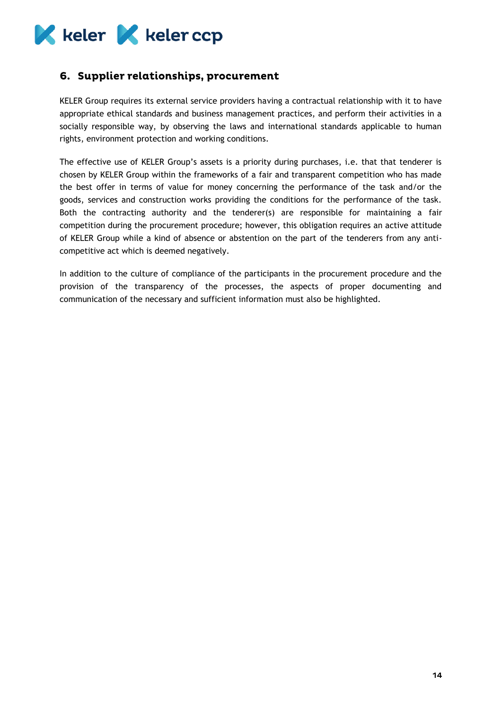

## <span id="page-14-0"></span>6. Supplier relationships, procurement

KELER Group requires its external service providers having a contractual relationship with it to have appropriate ethical standards and business management practices, and perform their activities in a socially responsible way, by observing the laws and international standards applicable to human rights, environment protection and working conditions.

The effective use of KELER Group's assets is a priority during purchases, i.e. that that tenderer is chosen by KELER Group within the frameworks of a fair and transparent competition who has made the best offer in terms of value for money concerning the performance of the task and/or the goods, services and construction works providing the conditions for the performance of the task. Both the contracting authority and the tenderer(s) are responsible for maintaining a fair competition during the procurement procedure; however, this obligation requires an active attitude of KELER Group while a kind of absence or abstention on the part of the tenderers from any anticompetitive act which is deemed negatively.

In addition to the culture of compliance of the participants in the procurement procedure and the provision of the transparency of the processes, the aspects of proper documenting and communication of the necessary and sufficient information must also be highlighted.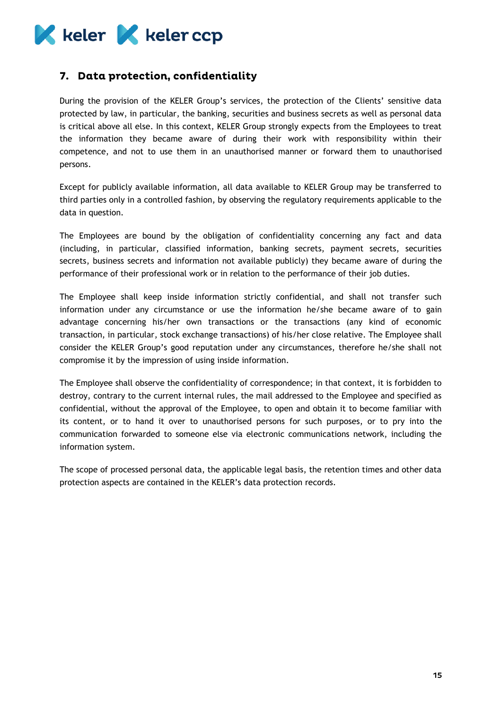

## <span id="page-15-0"></span>7. Data protection, confidentiality

During the provision of the KELER Group's services, the protection of the Clients' sensitive data protected by law, in particular, the banking, securities and business secrets as well as personal data is critical above all else. In this context, KELER Group strongly expects from the Employees to treat the information they became aware of during their work with responsibility within their competence, and not to use them in an unauthorised manner or forward them to unauthorised persons.

Except for publicly available information, all data available to KELER Group may be transferred to third parties only in a controlled fashion, by observing the regulatory requirements applicable to the data in question.

The Employees are bound by the obligation of confidentiality concerning any fact and data (including, in particular, classified information, banking secrets, payment secrets, securities secrets, business secrets and information not available publicly) they became aware of during the performance of their professional work or in relation to the performance of their job duties.

The Employee shall keep inside information strictly confidential, and shall not transfer such information under any circumstance or use the information he/she became aware of to gain advantage concerning his/her own transactions or the transactions (any kind of economic transaction, in particular, stock exchange transactions) of his/her close relative. The Employee shall consider the KELER Group's good reputation under any circumstances, therefore he/she shall not compromise it by the impression of using inside information.

The Employee shall observe the confidentiality of correspondence; in that context, it is forbidden to destroy, contrary to the current internal rules, the mail addressed to the Employee and specified as confidential, without the approval of the Employee, to open and obtain it to become familiar with its content, or to hand it over to unauthorised persons for such purposes, or to pry into the communication forwarded to someone else via electronic communications network, including the information system.

The scope of processed personal data, the applicable legal basis, the retention times and other data protection aspects are contained in the KELER's data protection records.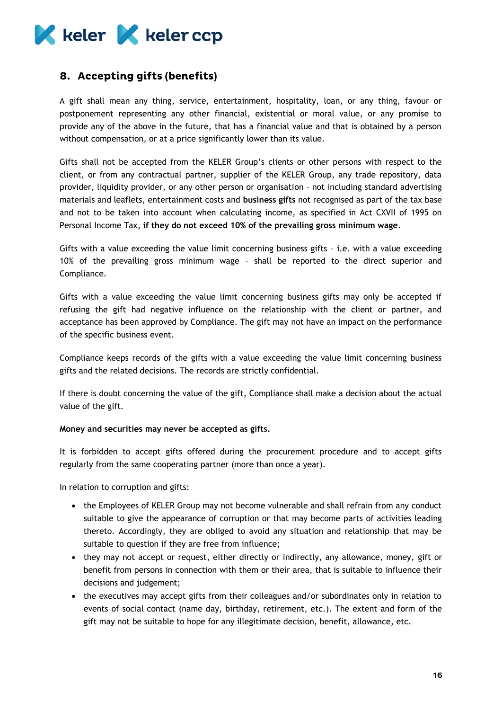

## <span id="page-16-0"></span>8. Accepting gifts (benefits)

A gift shall mean any thing, service, entertainment, hospitality, loan, or any thing, favour or postponement representing any other financial, existential or moral value, or any promise to provide any of the above in the future, that has a financial value and that is obtained by a person without compensation, or at a price significantly lower than its value.

Gifts shall not be accepted from the KELER Group's clients or other persons with respect to the client, or from any contractual partner, supplier of the KELER Group, any trade repository, data provider, liquidity provider, or any other person or organisation – not including standard advertising materials and leaflets, entertainment costs and **business gifts** not recognised as part of the tax base and not to be taken into account when calculating income, as specified in Act CXVII of 1995 on Personal Income Tax, **if they do not exceed 10% of the prevailing gross minimum wage**.

Gifts with a value exceeding the value limit concerning business gifts – i.e. with a value exceeding 10% of the prevailing gross minimum wage – shall be reported to the direct superior and Compliance.

Gifts with a value exceeding the value limit concerning business gifts may only be accepted if refusing the gift had negative influence on the relationship with the client or partner, and acceptance has been approved by Compliance. The gift may not have an impact on the performance of the specific business event.

Compliance keeps records of the gifts with a value exceeding the value limit concerning business gifts and the related decisions. The records are strictly confidential.

If there is doubt concerning the value of the gift, Compliance shall make a decision about the actual value of the gift.

#### **Money and securities may never be accepted as gifts.**

It is forbidden to accept gifts offered during the procurement procedure and to accept gifts regularly from the same cooperating partner (more than once a year).

In relation to corruption and gifts:

- the Employees of KELER Group may not become vulnerable and shall refrain from any conduct suitable to give the appearance of corruption or that may become parts of activities leading thereto. Accordingly, they are obliged to avoid any situation and relationship that may be suitable to question if they are free from influence;
- they may not accept or request, either directly or indirectly, any allowance, money, gift or benefit from persons in connection with them or their area, that is suitable to influence their decisions and judgement;
- the executives may accept gifts from their colleagues and/or subordinates only in relation to events of social contact (name day, birthday, retirement, etc.). The extent and form of the gift may not be suitable to hope for any illegitimate decision, benefit, allowance, etc.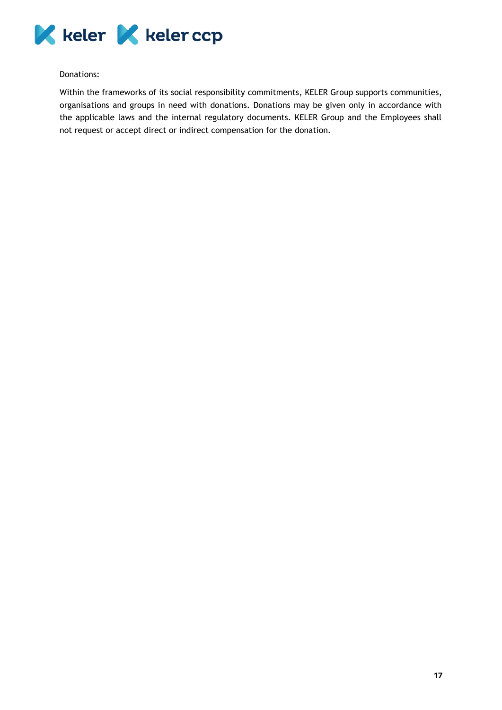

#### Donations:

Within the frameworks of its social responsibility commitments, KELER Group supports communities, organisations and groups in need with donations. Donations may be given only in accordance with the applicable laws and the internal regulatory documents. KELER Group and the Employees shall not request or accept direct or indirect compensation for the donation.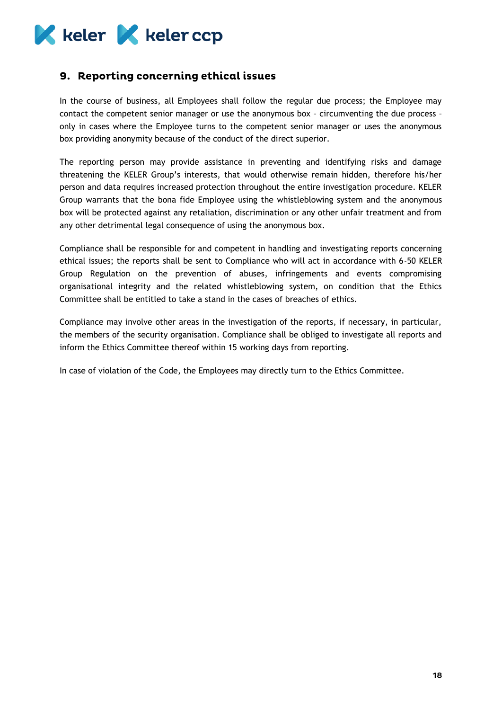

## <span id="page-18-0"></span>9. Reporting concerning ethical issues

In the course of business, all Employees shall follow the regular due process; the Employee may contact the competent senior manager or use the anonymous box – circumventing the due process – only in cases where the Employee turns to the competent senior manager or uses the anonymous box providing anonymity because of the conduct of the direct superior.

The reporting person may provide assistance in preventing and identifying risks and damage threatening the KELER Group's interests, that would otherwise remain hidden, therefore his/her person and data requires increased protection throughout the entire investigation procedure. KELER Group warrants that the bona fide Employee using the whistleblowing system and the anonymous box will be protected against any retaliation, discrimination or any other unfair treatment and from any other detrimental legal consequence of using the anonymous box.

Compliance shall be responsible for and competent in handling and investigating reports concerning ethical issues; the reports shall be sent to Compliance who will act in accordance with 6-50 KELER Group Regulation on the prevention of abuses, infringements and events compromising organisational integrity and the related whistleblowing system, on condition that the Ethics Committee shall be entitled to take a stand in the cases of breaches of ethics.

Compliance may involve other areas in the investigation of the reports, if necessary, in particular, the members of the security organisation. Compliance shall be obliged to investigate all reports and inform the Ethics Committee thereof within 15 working days from reporting.

In case of violation of the Code, the Employees may directly turn to the Ethics Committee.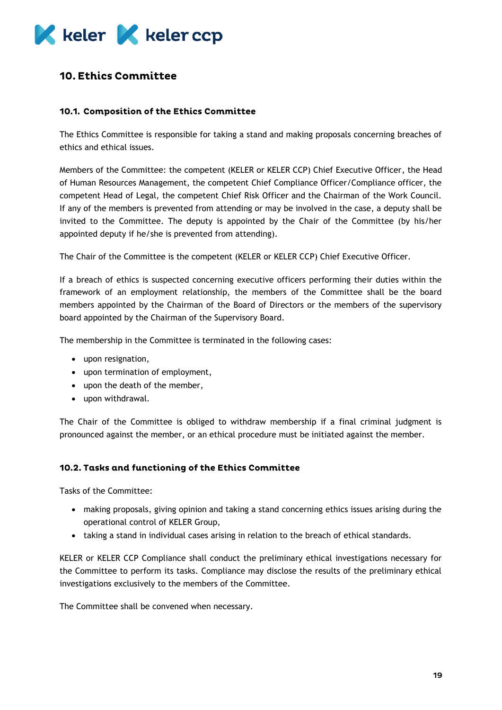

## <span id="page-19-0"></span>**10. Ethics Committee**

#### <span id="page-19-1"></span>10.1. Composition of the Ethics Committee

The Ethics Committee is responsible for taking a stand and making proposals concerning breaches of ethics and ethical issues.

Members of the Committee: the competent (KELER or KELER CCP) Chief Executive Officer, the Head of Human Resources Management, the competent Chief Compliance Officer/Compliance officer, the competent Head of Legal, the competent Chief Risk Officer and the Chairman of the Work Council. If any of the members is prevented from attending or may be involved in the case, a deputy shall be invited to the Committee. The deputy is appointed by the Chair of the Committee (by his/her appointed deputy if he/she is prevented from attending).

The Chair of the Committee is the competent (KELER or KELER CCP) Chief Executive Officer.

If a breach of ethics is suspected concerning executive officers performing their duties within the framework of an employment relationship, the members of the Committee shall be the board members appointed by the Chairman of the Board of Directors or the members of the supervisory board appointed by the Chairman of the Supervisory Board.

The membership in the Committee is terminated in the following cases:

- upon resignation,
- upon termination of employment,
- upon the death of the member,
- upon withdrawal.

The Chair of the Committee is obliged to withdraw membership if a final criminal judgment is pronounced against the member, or an ethical procedure must be initiated against the member.

#### <span id="page-19-2"></span>10.2. Tasks and functioning of the Ethics Committee

Tasks of the Committee:

- making proposals, giving opinion and taking a stand concerning ethics issues arising during the operational control of KELER Group,
- taking a stand in individual cases arising in relation to the breach of ethical standards.

KELER or KELER CCP Compliance shall conduct the preliminary ethical investigations necessary for the Committee to perform its tasks. Compliance may disclose the results of the preliminary ethical investigations exclusively to the members of the Committee.

The Committee shall be convened when necessary.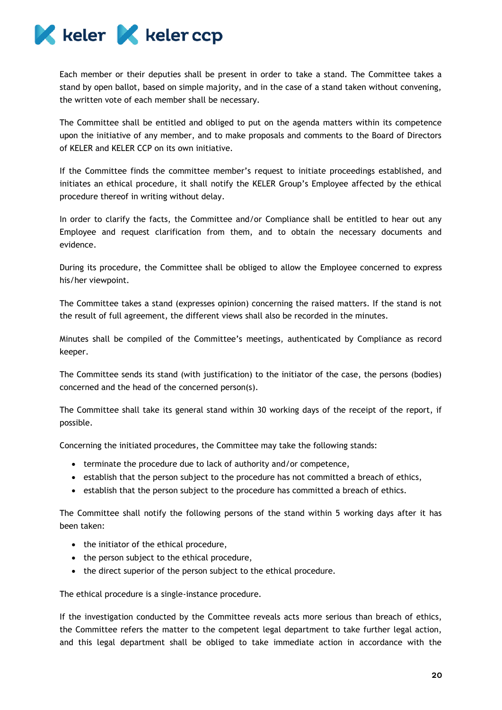

Each member or their deputies shall be present in order to take a stand. The Committee takes a stand by open ballot, based on simple majority, and in the case of a stand taken without convening, the written vote of each member shall be necessary.

The Committee shall be entitled and obliged to put on the agenda matters within its competence upon the initiative of any member, and to make proposals and comments to the Board of Directors of KELER and KELER CCP on its own initiative.

If the Committee finds the committee member's request to initiate proceedings established, and initiates an ethical procedure, it shall notify the KELER Group's Employee affected by the ethical procedure thereof in writing without delay.

In order to clarify the facts, the Committee and/or Compliance shall be entitled to hear out any Employee and request clarification from them, and to obtain the necessary documents and evidence.

During its procedure, the Committee shall be obliged to allow the Employee concerned to express his/her viewpoint.

The Committee takes a stand (expresses opinion) concerning the raised matters. If the stand is not the result of full agreement, the different views shall also be recorded in the minutes.

Minutes shall be compiled of the Committee's meetings, authenticated by Compliance as record keeper.

The Committee sends its stand (with justification) to the initiator of the case, the persons (bodies) concerned and the head of the concerned person(s).

The Committee shall take its general stand within 30 working days of the receipt of the report, if possible.

Concerning the initiated procedures, the Committee may take the following stands:

- terminate the procedure due to lack of authority and/or competence,
- establish that the person subject to the procedure has not committed a breach of ethics,
- establish that the person subject to the procedure has committed a breach of ethics.

The Committee shall notify the following persons of the stand within 5 working days after it has been taken:

- the initiator of the ethical procedure,
- the person subject to the ethical procedure,
- the direct superior of the person subject to the ethical procedure.

The ethical procedure is a single-instance procedure.

If the investigation conducted by the Committee reveals acts more serious than breach of ethics, the Committee refers the matter to the competent legal department to take further legal action, and this legal department shall be obliged to take immediate action in accordance with the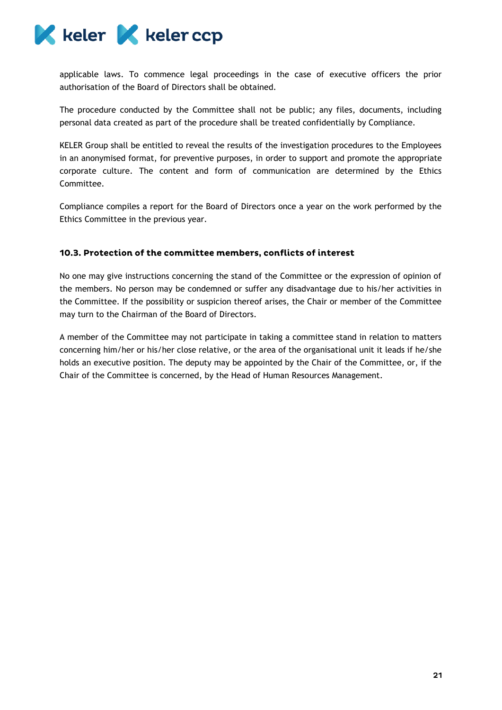

applicable laws. To commence legal proceedings in the case of executive officers the prior authorisation of the Board of Directors shall be obtained.

The procedure conducted by the Committee shall not be public; any files, documents, including personal data created as part of the procedure shall be treated confidentially by Compliance.

KELER Group shall be entitled to reveal the results of the investigation procedures to the Employees in an anonymised format, for preventive purposes, in order to support and promote the appropriate corporate culture. The content and form of communication are determined by the Ethics Committee.

Compliance compiles a report for the Board of Directors once a year on the work performed by the Ethics Committee in the previous year.

## <span id="page-21-0"></span>10.3. Protection of the committee members, conflicts of interest

No one may give instructions concerning the stand of the Committee or the expression of opinion of the members. No person may be condemned or suffer any disadvantage due to his/her activities in the Committee. If the possibility or suspicion thereof arises, the Chair or member of the Committee may turn to the Chairman of the Board of Directors.

A member of the Committee may not participate in taking a committee stand in relation to matters concerning him/her or his/her close relative, or the area of the organisational unit it leads if he/she holds an executive position. The deputy may be appointed by the Chair of the Committee, or, if the Chair of the Committee is concerned, by the Head of Human Resources Management.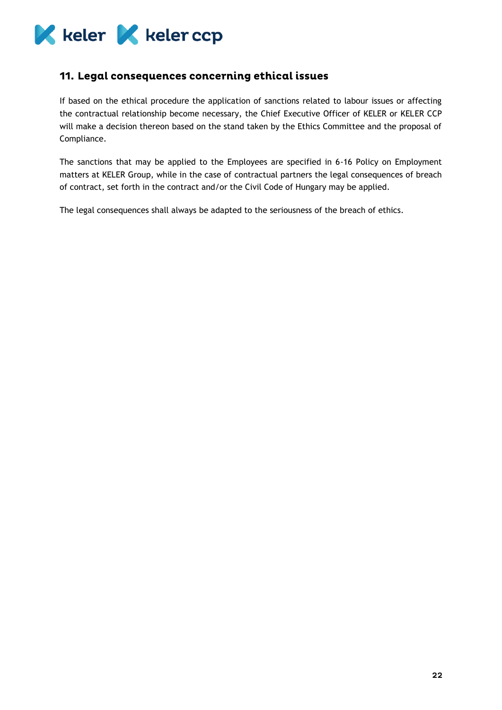

## <span id="page-22-0"></span>11. Legal consequences concerning ethical issues

If based on the ethical procedure the application of sanctions related to labour issues or affecting the contractual relationship become necessary, the Chief Executive Officer of KELER or KELER CCP will make a decision thereon based on the stand taken by the Ethics Committee and the proposal of Compliance.

The sanctions that may be applied to the Employees are specified in 6-16 Policy on Employment matters at KELER Group, while in the case of contractual partners the legal consequences of breach of contract, set forth in the contract and/or the Civil Code of Hungary may be applied.

The legal consequences shall always be adapted to the seriousness of the breach of ethics.